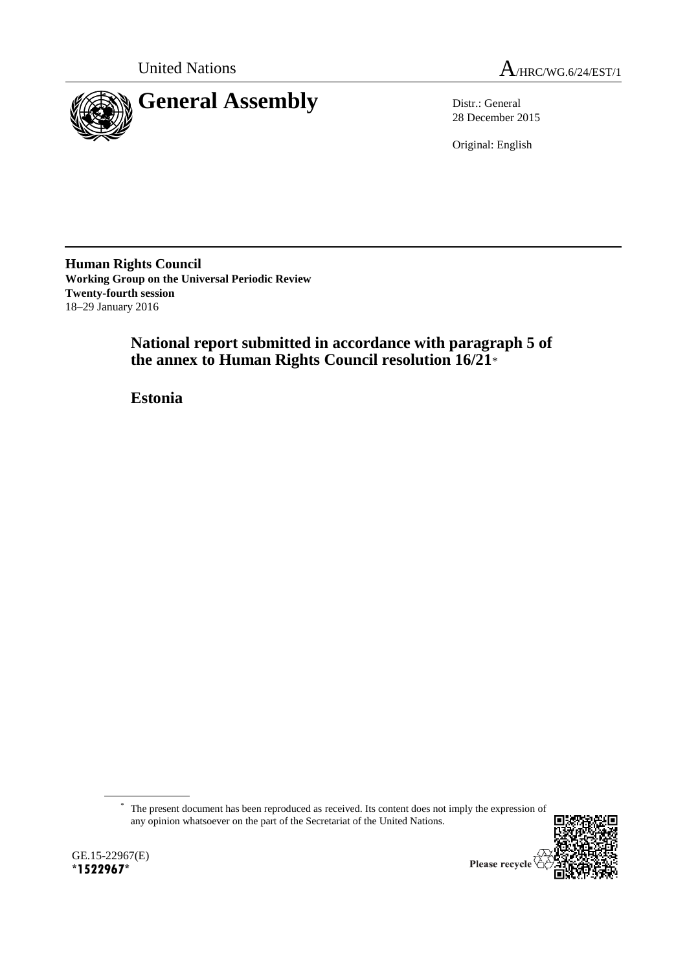



28 December 2015

Original: English

**Human Rights Council Working Group on the Universal Periodic Review Twenty-fourth session** 18–29 January 2016

> **National report submitted in accordance with paragraph 5 of the annex to Human Rights Council resolution 16/21**\*

**Estonia**

\* The present document has been reproduced as received. Its content does not imply the expression of any opinion whatsoever on the part of the Secretariat of the United Nations.

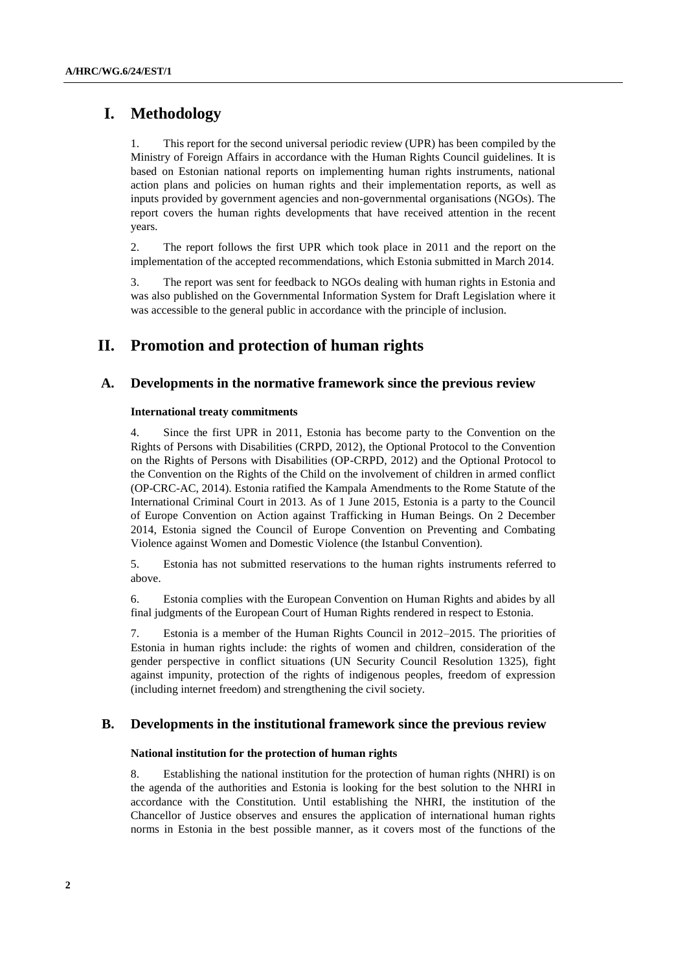# **I. Methodology**

1. This report for the second universal periodic review (UPR) has been compiled by the Ministry of Foreign Affairs in accordance with the Human Rights Council guidelines. It is based on Estonian national reports on implementing human rights instruments, national action plans and policies on human rights and their implementation reports, as well as inputs provided by government agencies and non-governmental organisations (NGOs). The report covers the human rights developments that have received attention in the recent years.

2. The report follows the first UPR which took place in 2011 and the report on the implementation of the accepted recommendations, which Estonia submitted in March 2014.

3. The report was sent for feedback to NGOs dealing with human rights in Estonia and was also published on the Governmental Information System for Draft Legislation where it was accessible to the general public in accordance with the principle of inclusion.

# **II. Promotion and protection of human rights**

# **A. Developments in the normative framework since the previous review**

# **International treaty commitments**

Since the first UPR in 2011, Estonia has become party to the Convention on the Rights of Persons with Disabilities (CRPD, 2012), the Optional Protocol to the Convention on the Rights of Persons with Disabilities (OP-CRPD, 2012) and the Optional Protocol to the Convention on the Rights of the Child on the involvement of children in armed conflict (OP-CRC-AC, 2014). Estonia ratified the Kampala Amendments to the Rome Statute of the International Criminal Court in 2013. As of 1 June 2015, Estonia is a party to the Council of Europe Convention on Action against Trafficking in Human Beings. On 2 December 2014, Estonia signed the Council of Europe Convention on Preventing and Combating Violence against Women and Domestic Violence (the Istanbul Convention).

5. Estonia has not submitted reservations to the human rights instruments referred to above.

6. Estonia complies with the European Convention on Human Rights and abides by all final judgments of the European Court of Human Rights rendered in respect to Estonia.

7. Estonia is a member of the Human Rights Council in 2012–2015. The priorities of Estonia in human rights include: the rights of women and children, consideration of the gender perspective in conflict situations (UN Security Council Resolution 1325), fight against impunity, protection of the rights of indigenous peoples, freedom of expression (including internet freedom) and strengthening the civil society.

# **B. Developments in the institutional framework since the previous review**

### **National institution for the protection of human rights**

8. Establishing the national institution for the protection of human rights (NHRI) is on the agenda of the authorities and Estonia is looking for the best solution to the NHRI in accordance with the Constitution. Until establishing the NHRI, the institution of the Chancellor of Justice observes and ensures the application of international human rights norms in Estonia in the best possible manner, as it covers most of the functions of the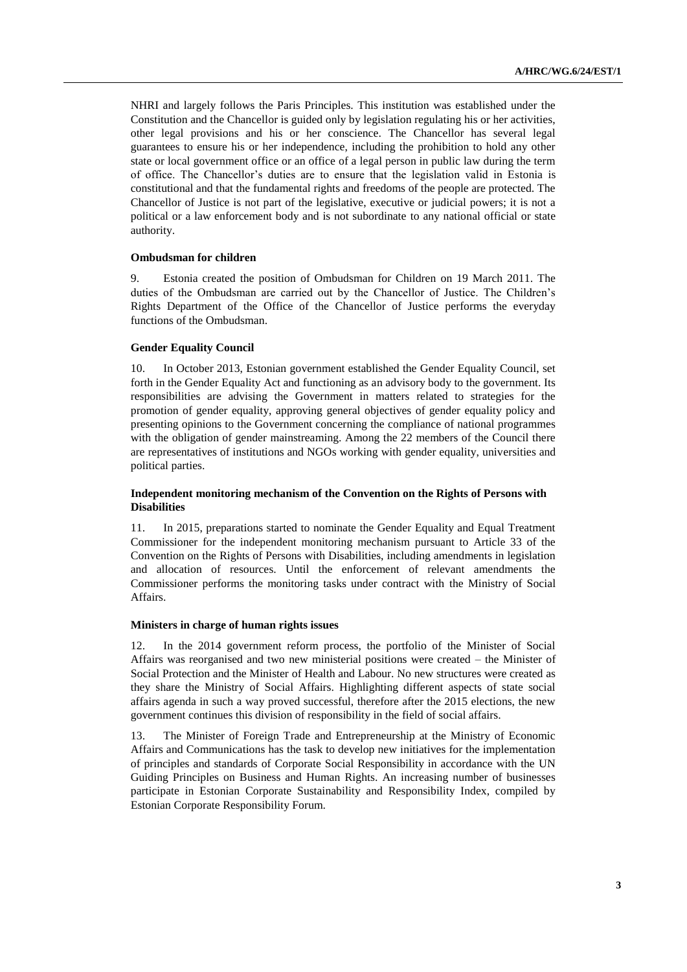NHRI and largely follows the Paris Principles. This institution was established under the Constitution and the Chancellor is guided only by legislation regulating his or her activities, other legal provisions and his or her conscience. The Chancellor has several legal guarantees to ensure his or her independence, including the prohibition to hold any other state or local government office or an office of a legal person in public law during the term of office. The Chancellor's duties are to ensure that the legislation valid in Estonia is constitutional and that the fundamental rights and freedoms of the people are protected. The Chancellor of Justice is not part of the legislative, executive or judicial powers; it is not a political or a law enforcement body and is not subordinate to any national official or state authority.

#### **Ombudsman for children**

9. Estonia created the position of Ombudsman for Children on 19 March 2011. The duties of the Ombudsman are carried out by the Chancellor of Justice. The Children's Rights Department of the Office of the Chancellor of Justice performs the everyday functions of the Ombudsman.

# **Gender Equality Council**

10. In October 2013, Estonian government established the Gender Equality Council, set forth in the Gender Equality Act and functioning as an advisory body to the government. Its responsibilities are advising the Government in matters related to strategies for the promotion of gender equality, approving general objectives of gender equality policy and presenting opinions to the Government concerning the compliance of national programmes with the obligation of gender mainstreaming. Among the 22 members of the Council there are representatives of institutions and NGOs working with gender equality, universities and political parties.

# **Independent monitoring mechanism of the Convention on the Rights of Persons with Disabilities**

11. In 2015, preparations started to nominate the Gender Equality and Equal Treatment Commissioner for the independent monitoring mechanism pursuant to Article 33 of the Convention on the Rights of Persons with Disabilities, including amendments in legislation and allocation of resources. Until the enforcement of relevant amendments the Commissioner performs the monitoring tasks under contract with the Ministry of Social Affairs.

### **Ministers in charge of human rights issues**

12. In the 2014 government reform process, the portfolio of the Minister of Social Affairs was reorganised and two new ministerial positions were created – the Minister of Social Protection and the Minister of Health and Labour. No new structures were created as they share the Ministry of Social Affairs. Highlighting different aspects of state social affairs agenda in such a way proved successful, therefore after the 2015 elections, the new government continues this division of responsibility in the field of social affairs.

13. The Minister of Foreign Trade and Entrepreneurship at the Ministry of Economic Affairs and Communications has the task to develop new initiatives for the implementation of principles and standards of Corporate Social Responsibility in accordance with the UN Guiding Principles on Business and Human Rights. An increasing number of businesses participate in Estonian Corporate Sustainability and Responsibility Index, compiled by Estonian Corporate Responsibility Forum.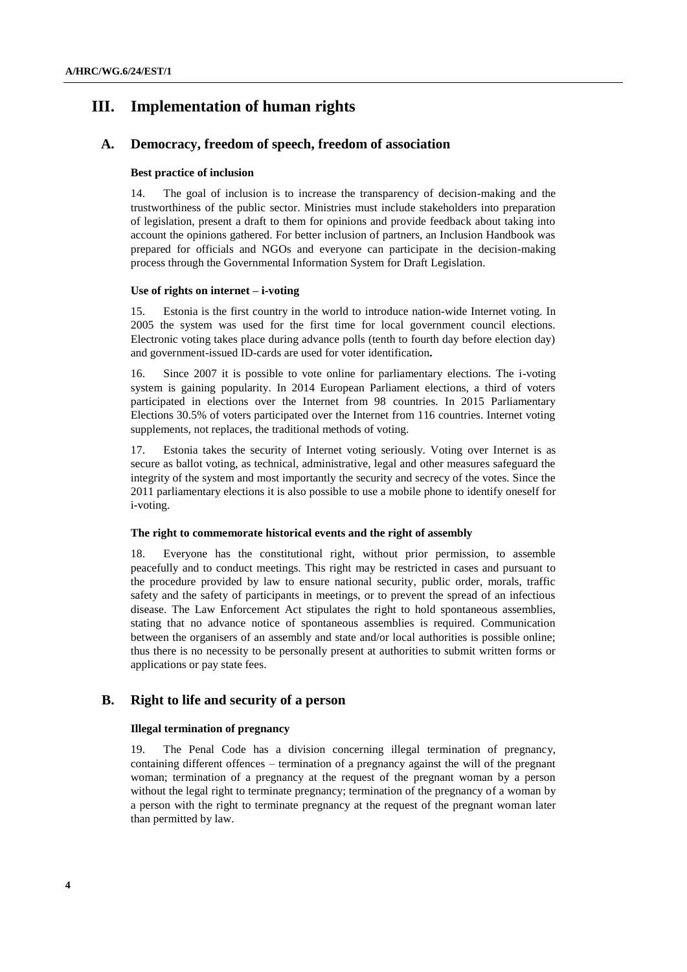# **III. Implementation of human rights**

# **A. Democracy, freedom of speech, freedom of association**

# **Best practice of inclusion**

14. The goal of inclusion is to increase the transparency of decision-making and the trustworthiness of the public sector. Ministries must include stakeholders into preparation of legislation, present a draft to them for opinions and provide feedback about taking into account the opinions gathered. For better inclusion of partners, an Inclusion Handbook was prepared for officials and NGOs and everyone can participate in the decision-making process through the Governmental Information System for Draft Legislation.

# **Use of rights on internet – i-voting**

15. Estonia is the first country in the world to introduce nation-wide Internet voting*.* In 2005 the system was used for the first time for local government council elections. Electronic voting takes place during advance polls (tenth to fourth day before election day) and government-issued ID-cards are used for voter identification**.**

16. Since 2007 it is possible to vote online for parliamentary elections. The i-voting system is gaining popularity. In 2014 European Parliament elections, a third of voters participated in elections over the Internet from 98 countries. In 2015 Parliamentary Elections 30.5% of voters participated over the Internet from 116 countries. Internet voting supplements, not replaces, the traditional methods of voting.

17. Estonia takes the security of Internet voting seriously. Voting over Internet is as secure as ballot voting, as technical, administrative, legal and other measures safeguard the integrity of the system and most importantly the security and secrecy of the votes. Since the 2011 parliamentary elections it is also possible to use a mobile phone to identify oneself for i-voting.

### **The right to commemorate historical events and the right of assembly**

18. Everyone has the constitutional right, without prior permission, to assemble peacefully and to conduct meetings. This right may be restricted in cases and pursuant to the procedure provided by law to ensure national security, public order, morals, traffic safety and the safety of participants in meetings, or to prevent the spread of an infectious disease. The Law Enforcement Act stipulates the right to hold spontaneous assemblies, stating that no advance notice of spontaneous assemblies is required. Communication between the organisers of an assembly and state and/or local authorities is possible online; thus there is no necessity to be personally present at authorities to submit written forms or applications or pay state fees.

# **B. Right to life and security of a person**

# **Illegal termination of pregnancy**

19. The Penal Code has a division concerning illegal termination of pregnancy, containing different offences – termination of a pregnancy against the will of the pregnant woman; termination of a pregnancy at the request of the pregnant woman by a person without the legal right to terminate pregnancy; termination of the pregnancy of a woman by a person with the right to terminate pregnancy at the request of the pregnant woman later than permitted by law.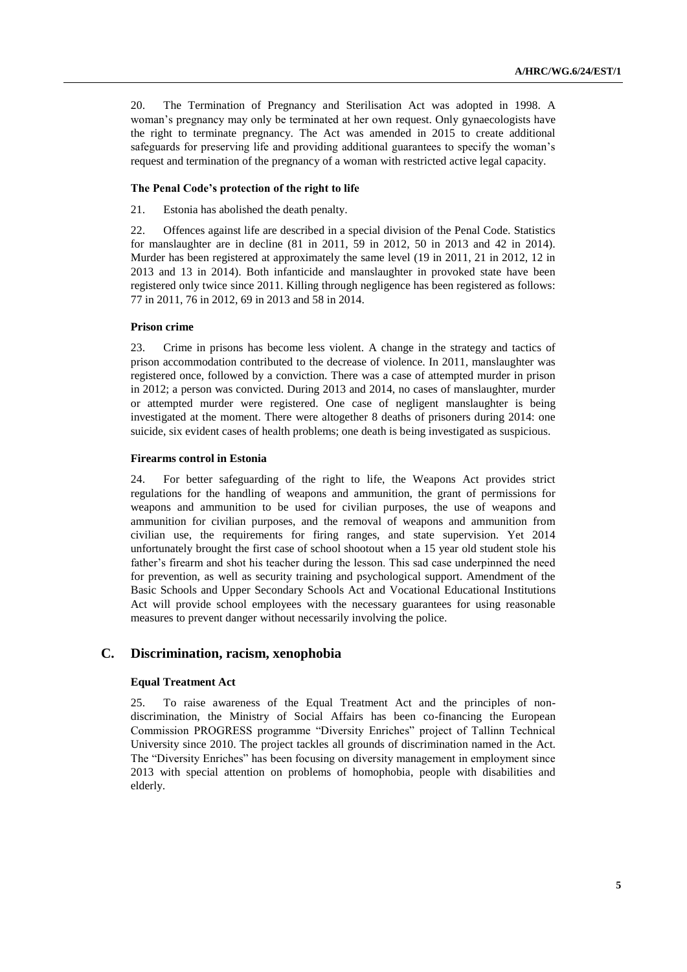20. The Termination of Pregnancy and Sterilisation Act was adopted in 1998. A woman's pregnancy may only be terminated at her own request. Only gynaecologists have the right to terminate pregnancy. The Act was amended in 2015 to create additional safeguards for preserving life and providing additional guarantees to specify the woman's request and termination of the pregnancy of a woman with restricted active legal capacity.

### **The Penal Code's protection of the right to life**

21. Estonia has abolished the death penalty.

22. Offences against life are described in a special division of the Penal Code. Statistics for manslaughter are in decline (81 in 2011, 59 in 2012, 50 in 2013 and 42 in 2014). Murder has been registered at approximately the same level (19 in 2011, 21 in 2012, 12 in 2013 and 13 in 2014). Both infanticide and manslaughter in provoked state have been registered only twice since 2011. Killing through negligence has been registered as follows: 77 in 2011, 76 in 2012, 69 in 2013 and 58 in 2014.

#### **Prison crime**

23. Crime in prisons has become less violent. A change in the strategy and tactics of prison accommodation contributed to the decrease of violence. In 2011, manslaughter was registered once, followed by a conviction. There was a case of attempted murder in prison in 2012; a person was convicted. During 2013 and 2014, no cases of manslaughter, murder or attempted murder were registered. One case of negligent manslaughter is being investigated at the moment. There were altogether 8 deaths of prisoners during 2014: one suicide, six evident cases of health problems; one death is being investigated as suspicious.

#### **Firearms control in Estonia**

24. For better safeguarding of the right to life, the Weapons Act provides strict regulations for the handling of weapons and ammunition, the grant of permissions for weapons and ammunition to be used for civilian purposes, the use of weapons and ammunition for civilian purposes, and the removal of weapons and ammunition from civilian use, the requirements for firing ranges, and state supervision. Yet 2014 unfortunately brought the first case of school shootout when a 15 year old student stole his father's firearm and shot his teacher during the lesson. This sad case underpinned the need for prevention, as well as security training and psychological support. Amendment of the Basic Schools and Upper Secondary Schools Act and Vocational Educational Institutions Act will provide school employees with the necessary guarantees for using reasonable measures to prevent danger without necessarily involving the police.

# **C. Discrimination, racism, xenophobia**

# **Equal Treatment Act**

25. To raise awareness of the Equal Treatment Act and the principles of nondiscrimination, the Ministry of Social Affairs has been co-financing the European Commission PROGRESS programme "Diversity Enriches" project of Tallinn Technical University since 2010. The project tackles all grounds of discrimination named in the Act. The "Diversity Enriches" has been focusing on diversity management in employment since 2013 with special attention on problems of homophobia, people with disabilities and elderly.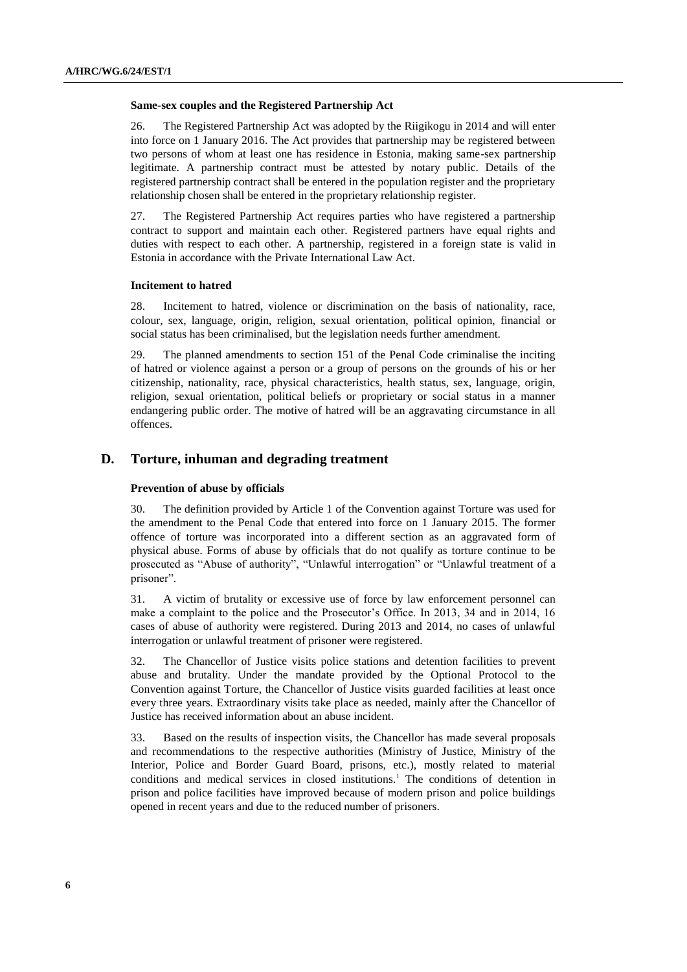#### **Same-sex couples and the Registered Partnership Act**

26. The Registered Partnership Act was adopted by the Riigikogu in 2014 and will enter into force on 1 January 2016. The Act provides that partnership may be registered between two persons of whom at least one has residence in Estonia, making same-sex partnership legitimate. A partnership contract must be attested by notary public. Details of the registered partnership contract shall be entered in the population register and the proprietary relationship chosen shall be entered in the proprietary relationship register.

27. The Registered Partnership Act requires parties who have registered a partnership contract to support and maintain each other. Registered partners have equal rights and duties with respect to each other. A partnership, registered in a foreign state is valid in Estonia in accordance with the Private International Law Act.

# **Incitement to hatred**

28. Incitement to hatred, violence or discrimination on the basis of nationality, race, colour, sex, language, origin, religion, sexual orientation, political opinion, financial or social status has been criminalised, but the legislation needs further amendment.

29. The planned amendments to section 151 of the Penal Code criminalise the inciting of hatred or violence against a person or a group of persons on the grounds of his or her citizenship, nationality, race, physical characteristics, health status, sex, language, origin, religion, sexual orientation, political beliefs or proprietary or social status in a manner endangering public order. The motive of hatred will be an aggravating circumstance in all offences.

# **D. Torture, inhuman and degrading treatment**

### **Prevention of abuse by officials**

30. The definition provided by Article 1 of the Convention against Torture was used for the amendment to the Penal Code that entered into force on 1 January 2015. The former offence of torture was incorporated into a different section as an aggravated form of physical abuse. Forms of abuse by officials that do not qualify as torture continue to be prosecuted as "Abuse of authority", "Unlawful interrogation" or "Unlawful treatment of a prisoner".

31. A victim of brutality or excessive use of force by law enforcement personnel can make a complaint to the police and the Prosecutor's Office. In 2013, 34 and in 2014, 16 cases of abuse of authority were registered. During 2013 and 2014, no cases of unlawful interrogation or unlawful treatment of prisoner were registered.

32. The Chancellor of Justice visits police stations and detention facilities to prevent abuse and brutality. Under the mandate provided by the Optional Protocol to the Convention against Torture, the Chancellor of Justice visits guarded facilities at least once every three years. Extraordinary visits take place as needed, mainly after the Chancellor of Justice has received information about an abuse incident.

33. Based on the results of inspection visits, the Chancellor has made several proposals and recommendations to the respective authorities (Ministry of Justice, Ministry of the Interior, Police and Border Guard Board, prisons, etc.), mostly related to material conditions and medical services in closed institutions.<sup>1</sup> The conditions of detention in prison and police facilities have improved because of modern prison and police buildings opened in recent years and due to the reduced number of prisoners.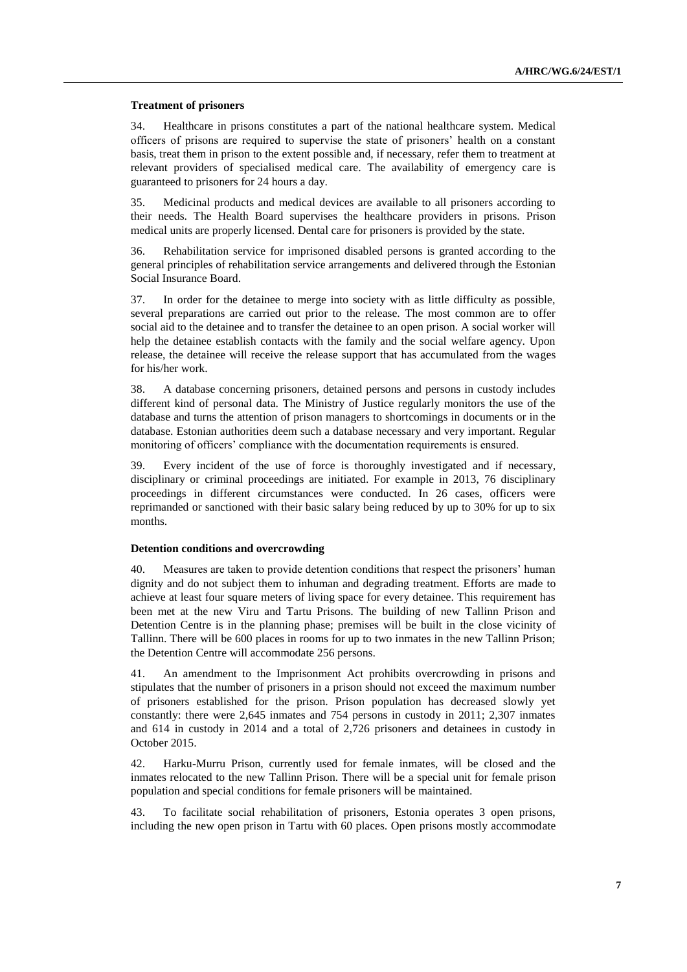#### **Treatment of prisoners**

34. Healthcare in prisons constitutes a part of the national healthcare system. Medical officers of prisons are required to supervise the state of prisoners' health on a constant basis, treat them in prison to the extent possible and, if necessary, refer them to treatment at relevant providers of specialised medical care. The availability of emergency care is guaranteed to prisoners for 24 hours a day.

35. Medicinal products and medical devices are available to all prisoners according to their needs. The Health Board supervises the healthcare providers in prisons. Prison medical units are properly licensed. Dental care for prisoners is provided by the state.

36. Rehabilitation service for imprisoned disabled persons is granted according to the general principles of rehabilitation service arrangements and delivered through the Estonian Social Insurance Board.

37. In order for the detainee to merge into society with as little difficulty as possible, several preparations are carried out prior to the release. The most common are to offer social aid to the detainee and to transfer the detainee to an open prison. A social worker will help the detainee establish contacts with the family and the social welfare agency. Upon release, the detainee will receive the release support that has accumulated from the wages for his/her work.

38. A database concerning prisoners, detained persons and persons in custody includes different kind of personal data. The Ministry of Justice regularly monitors the use of the database and turns the attention of prison managers to shortcomings in documents or in the database. Estonian authorities deem such a database necessary and very important. Regular monitoring of officers' compliance with the documentation requirements is ensured.

39. Every incident of the use of force is thoroughly investigated and if necessary, disciplinary or criminal proceedings are initiated. For example in 2013, 76 disciplinary proceedings in different circumstances were conducted. In 26 cases, officers were reprimanded or sanctioned with their basic salary being reduced by up to 30% for up to six months.

# **Detention conditions and overcrowding**

40. Measures are taken to provide detention conditions that respect the prisoners' human dignity and do not subject them to inhuman and degrading treatment. Efforts are made to achieve at least four square meters of living space for every detainee. This requirement has been met at the new Viru and Tartu Prisons. The building of new Tallinn Prison and Detention Centre is in the planning phase; premises will be built in the close vicinity of Tallinn. There will be 600 places in rooms for up to two inmates in the new Tallinn Prison; the Detention Centre will accommodate 256 persons.

41. An amendment to the Imprisonment Act prohibits overcrowding in prisons and stipulates that the number of prisoners in a prison should not exceed the maximum number of prisoners established for the prison. Prison population has decreased slowly yet constantly: there were 2,645 inmates and 754 persons in custody in 2011; 2,307 inmates and 614 in custody in 2014 and a total of 2,726 prisoners and detainees in custody in October 2015.

42. Harku-Murru Prison, currently used for female inmates, will be closed and the inmates relocated to the new Tallinn Prison. There will be a special unit for female prison population and special conditions for female prisoners will be maintained.

43. To facilitate social rehabilitation of prisoners, Estonia operates 3 open prisons, including the new open prison in Tartu with 60 places. Open prisons mostly accommodate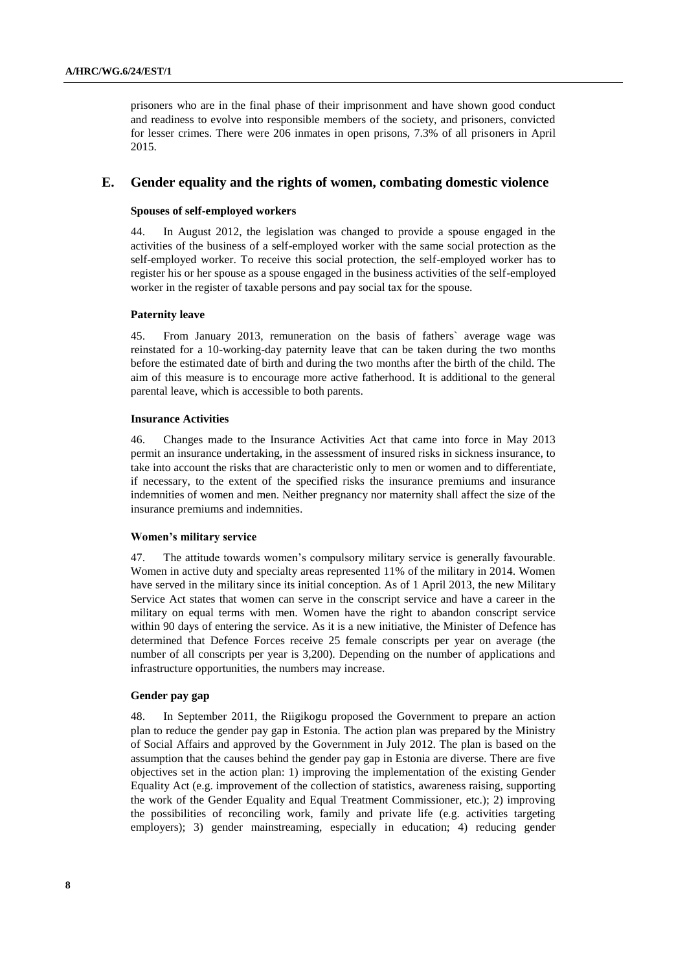prisoners who are in the final phase of their imprisonment and have shown good conduct and readiness to evolve into responsible members of the society, and prisoners, convicted for lesser crimes. There were 206 inmates in open prisons, 7.3% of all prisoners in April 2015.

# **E. Gender equality and the rights of women, combating domestic violence**

# **Spouses of self-employed workers**

44. In August 2012, the legislation was changed to provide a spouse engaged in the activities of the business of a self-employed worker with the same social protection as the self-employed worker. To receive this social protection, the self-employed worker has to register his or her spouse as a spouse engaged in the business activities of the self-employed worker in the register of taxable persons and pay social tax for the spouse.

#### **Paternity leave**

45. From January 2013, remuneration on the basis of fathers` average wage was reinstated for a 10-working-day paternity leave that can be taken during the two months before the estimated date of birth and during the two months after the birth of the child. The aim of this measure is to encourage more active fatherhood. It is additional to the general parental leave, which is accessible to both parents.

#### **Insurance Activities**

46. Changes made to the Insurance Activities Act that came into force in May 2013 permit an insurance undertaking, in the assessment of insured risks in sickness insurance, to take into account the risks that are characteristic only to men or women and to differentiate, if necessary, to the extent of the specified risks the insurance premiums and insurance indemnities of women and men. Neither pregnancy nor maternity shall affect the size of the insurance premiums and indemnities.

#### **Women's military service**

47. The attitude towards women's compulsory military service is generally favourable. Women in active duty and specialty areas represented 11% of the military in 2014. Women have served in the military since its initial conception. As of 1 April 2013, the new Military Service Act states that women can serve in the conscript service and have a career in the military on equal terms with men. Women have the right to abandon conscript service within 90 days of entering the service. As it is a new initiative, the Minister of Defence has determined that Defence Forces receive 25 female conscripts per year on average (the number of all conscripts per year is 3,200). Depending on the number of applications and infrastructure opportunities, the numbers may increase.

#### **Gender pay gap**

48. In September 2011, the Riigikogu proposed the Government to prepare an action plan to reduce the gender pay gap in Estonia. The action plan was prepared by the Ministry of Social Affairs and approved by the Government in July 2012. The plan is based on the assumption that the causes behind the gender pay gap in Estonia are diverse. There are five objectives set in the action plan: 1) improving the implementation of the existing Gender Equality Act (e.g. improvement of the collection of statistics, awareness raising, supporting the work of the Gender Equality and Equal Treatment Commissioner, etc.); 2) improving the possibilities of reconciling work, family and private life (e.g. activities targeting employers); 3) gender mainstreaming, especially in education; 4) reducing gender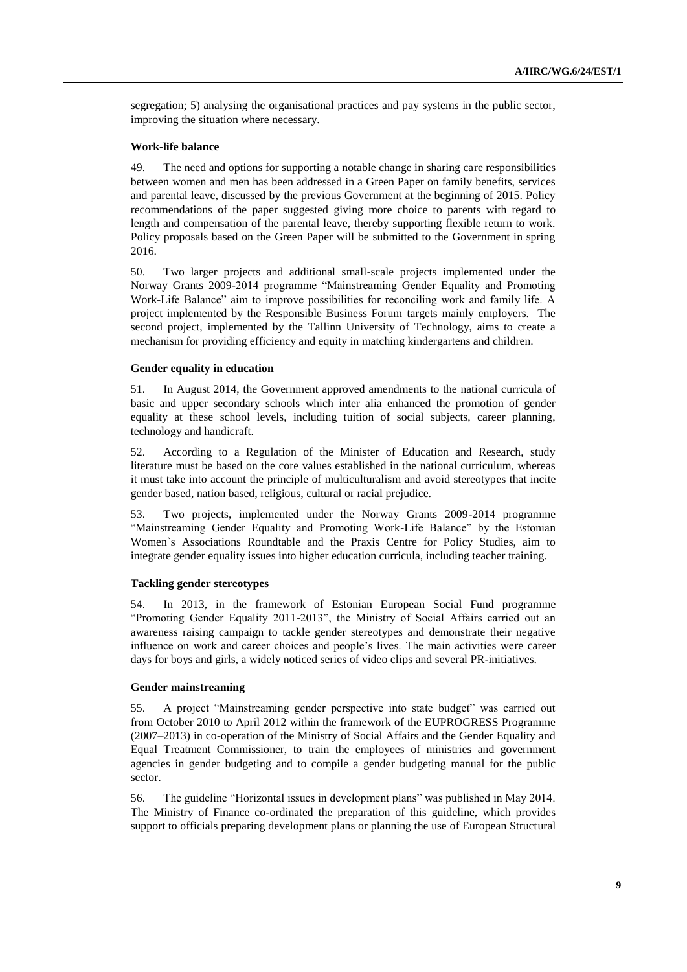segregation; 5) analysing the organisational practices and pay systems in the public sector, improving the situation where necessary.

# **Work-life balance**

49. The need and options for supporting a notable change in sharing care responsibilities between women and men has been addressed in a Green Paper on family benefits, services and parental leave, discussed by the previous Government at the beginning of 2015. Policy recommendations of the paper suggested giving more choice to parents with regard to length and compensation of the parental leave, thereby supporting flexible return to work. Policy proposals based on the Green Paper will be submitted to the Government in spring 2016.

50. Two larger projects and additional small-scale projects implemented under the Norway Grants 2009-2014 programme "Mainstreaming Gender Equality and Promoting Work-Life Balance" aim to improve possibilities for reconciling work and family life. A project implemented by the Responsible Business Forum targets mainly employers. The second project, implemented by the Tallinn University of Technology, aims to create a mechanism for providing efficiency and equity in matching kindergartens and children.

# **Gender equality in education**

51. In August 2014, the Government approved amendments to the national curricula of basic and upper secondary schools which inter alia enhanced the promotion of gender equality at these school levels, including tuition of social subjects, career planning, technology and handicraft.

52. According to a Regulation of the Minister of Education and Research, study literature must be based on the core values established in the national curriculum, whereas it must take into account the principle of multiculturalism and avoid stereotypes that incite gender based, nation based, religious, cultural or racial prejudice.

53. Two projects, implemented under the Norway Grants 2009-2014 programme "Mainstreaming Gender Equality and Promoting Work-Life Balance" by the Estonian Women`s Associations Roundtable and the Praxis Centre for Policy Studies, aim to integrate gender equality issues into higher education curricula, including teacher training.

# **Tackling gender stereotypes**

54. In 2013, in the framework of Estonian European Social Fund programme "Promoting Gender Equality 2011-2013", the Ministry of Social Affairs carried out an awareness raising campaign to tackle gender stereotypes and demonstrate their negative influence on work and career choices and people's lives. The main activities were career days for boys and girls, a widely noticed series of video clips and several PR-initiatives.

# **Gender mainstreaming**

55. A project "Mainstreaming gender perspective into state budget" was carried out from October 2010 to April 2012 within the framework of the EUPROGRESS Programme (2007–2013) in co-operation of the Ministry of Social Affairs and the Gender Equality and Equal Treatment Commissioner, to train the employees of ministries and government agencies in gender budgeting and to compile a gender budgeting manual for the public sector.

56. The guideline "Horizontal issues in development plans" was published in May 2014. The Ministry of Finance co-ordinated the preparation of this guideline, which provides support to officials preparing development plans or planning the use of European Structural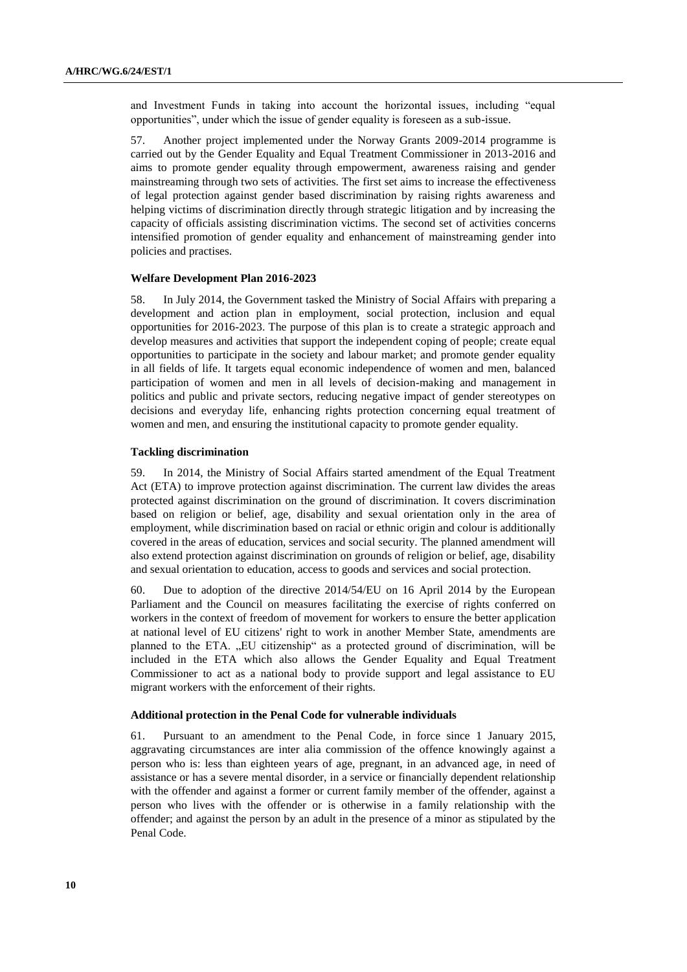and Investment Funds in taking into account the horizontal issues, including "equal opportunities", under which the issue of gender equality is foreseen as a sub-issue.

57. Another project implemented under the Norway Grants 2009-2014 programme is carried out by the Gender Equality and Equal Treatment Commissioner in 2013-2016 and aims to promote gender equality through empowerment, awareness raising and gender mainstreaming through two sets of activities. The first set aims to increase the effectiveness of legal protection against gender based discrimination by raising rights awareness and helping victims of discrimination directly through strategic litigation and by increasing the capacity of officials assisting discrimination victims. The second set of activities concerns intensified promotion of gender equality and enhancement of mainstreaming gender into policies and practises.

#### **Welfare Development Plan 2016-2023**

58. In July 2014, the Government tasked the Ministry of Social Affairs with preparing a development and action plan in employment, social protection, inclusion and equal opportunities for 2016-2023. The purpose of this plan is to create a strategic approach and develop measures and activities that support the independent coping of people; create equal opportunities to participate in the society and labour market; and promote gender equality in all fields of life. It targets equal economic independence of women and men, balanced participation of women and men in all levels of decision-making and management in politics and public and private sectors, reducing negative impact of gender stereotypes on decisions and everyday life, enhancing rights protection concerning equal treatment of women and men, and ensuring the institutional capacity to promote gender equality.

# **Tackling discrimination**

59. In 2014, the Ministry of Social Affairs started amendment of the Equal Treatment Act (ETA) to improve protection against discrimination. The current law divides the areas protected against discrimination on the ground of discrimination. It covers discrimination based on religion or belief, age, disability and sexual orientation only in the area of employment, while discrimination based on racial or ethnic origin and colour is additionally covered in the areas of education, services and social security. The planned amendment will also extend protection against discrimination on grounds of religion or belief, age, disability and sexual orientation to education, access to goods and services and social protection.

60. Due to adoption of the directive 2014/54/EU on 16 April 2014 by the European Parliament and the Council on measures facilitating the exercise of rights conferred on workers in the context of freedom of movement for workers to ensure the better application at national level of EU citizens' right to work in another Member State, amendments are planned to the ETA. "EU citizenship" as a protected ground of discrimination, will be included in the ETA which also allows the Gender Equality and Equal Treatment Commissioner to act as a national body to provide support and legal assistance to EU migrant workers with the enforcement of their rights.

#### **Additional protection in the Penal Code for vulnerable individuals**

61. Pursuant to an amendment to the Penal Code, in force since 1 January 2015, aggravating circumstances are inter alia commission of the offence knowingly against a person who is: less than eighteen years of age, pregnant, in an advanced age, in need of assistance or has a severe mental disorder, in a service or financially dependent relationship with the offender and against a former or current family member of the offender, against a person who lives with the offender or is otherwise in a family relationship with the offender; and against the person by an adult in the presence of a minor as stipulated by the Penal Code.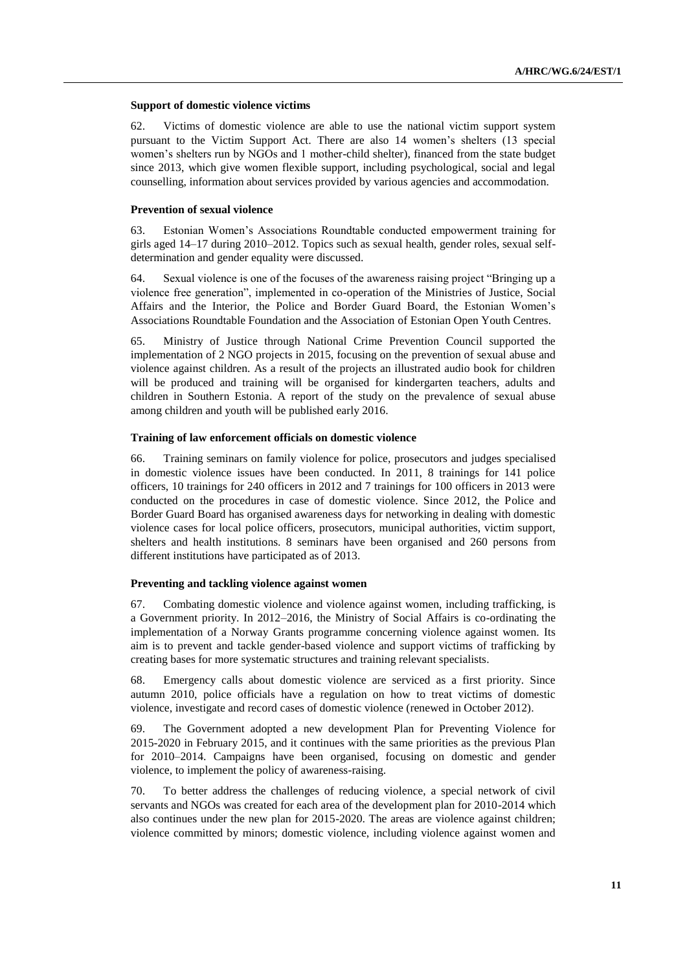#### **Support of domestic violence victims**

62. Victims of domestic violence are able to use the national victim support system pursuant to the Victim Support Act. There are also 14 women's shelters (13 special women's shelters run by NGOs and 1 mother-child shelter), financed from the state budget since 2013, which give women flexible support, including psychological, social and legal counselling, information about services provided by various agencies and accommodation.

#### **Prevention of sexual violence**

63. Estonian Women's Associations Roundtable conducted empowerment training for girls aged 14–17 during 2010–2012. Topics such as sexual health, gender roles, sexual selfdetermination and gender equality were discussed.

64. Sexual violence is one of the focuses of the awareness raising project "Bringing up a violence free generation", implemented in co-operation of the Ministries of Justice, Social Affairs and the Interior, the Police and Border Guard Board, the Estonian Women's Associations Roundtable Foundation and the Association of Estonian Open Youth Centres.

65. Ministry of Justice through National Crime Prevention Council supported the implementation of 2 NGO projects in 2015, focusing on the prevention of sexual abuse and violence against children. As a result of the projects an illustrated audio book for children will be produced and training will be organised for kindergarten teachers, adults and children in Southern Estonia. A report of the study on the prevalence of sexual abuse among children and youth will be published early 2016.

#### **Training of law enforcement officials on domestic violence**

66. Training seminars on family violence for police, prosecutors and judges specialised in domestic violence issues have been conducted. In 2011, 8 trainings for 141 police officers, 10 trainings for 240 officers in 2012 and 7 trainings for 100 officers in 2013 were conducted on the procedures in case of domestic violence. Since 2012, the Police and Border Guard Board has organised awareness days for networking in dealing with domestic violence cases for local police officers, prosecutors, municipal authorities, victim support, shelters and health institutions. 8 seminars have been organised and 260 persons from different institutions have participated as of 2013.

#### **Preventing and tackling violence against women**

67. Combating domestic violence and violence against women, including trafficking, is a Government priority. In 2012–2016, the Ministry of Social Affairs is co-ordinating the implementation of a Norway Grants programme concerning violence against women. Its aim is to prevent and tackle gender-based violence and support victims of trafficking by creating bases for more systematic structures and training relevant specialists.

68. Emergency calls about domestic violence are serviced as a first priority. Since autumn 2010, police officials have a regulation on how to treat victims of domestic violence, investigate and record cases of domestic violence (renewed in October 2012).

69. The Government adopted a new development Plan for Preventing Violence for 2015-2020 in February 2015, and it continues with the same priorities as the previous Plan for 2010–2014. Campaigns have been organised, focusing on domestic and gender violence, to implement the policy of awareness-raising.

70. To better address the challenges of reducing violence, a special network of civil servants and NGOs was created for each area of the development plan for 2010-2014 which also continues under the new plan for 2015-2020. The areas are violence against children; violence committed by minors; domestic violence, including violence against women and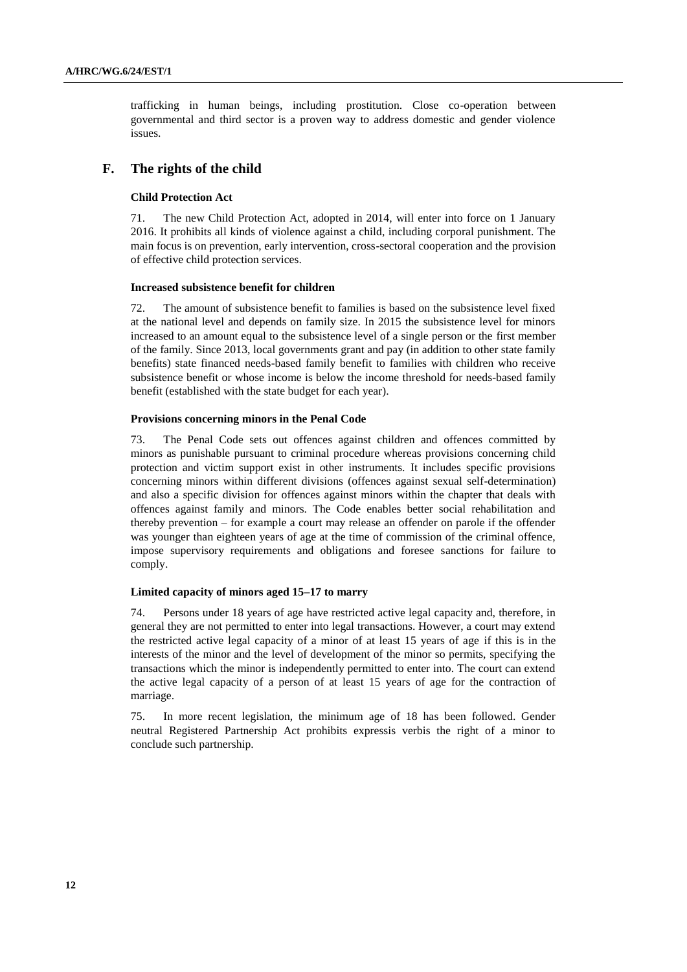trafficking in human beings, including prostitution. Close co-operation between governmental and third sector is a proven way to address domestic and gender violence issues.

# **F. The rights of the child**

## **Child Protection Act**

71. The new Child Protection Act, adopted in 2014, will enter into force on 1 January 2016. It prohibits all kinds of violence against a child, including corporal punishment. The main focus is on prevention, early intervention, cross-sectoral cooperation and the provision of effective child protection services.

#### **Increased subsistence benefit for children**

72. The amount of subsistence benefit to families is based on the subsistence level fixed at the national level and depends on family size. In 2015 the subsistence level for minors increased to an amount equal to the subsistence level of a single person or the first member of the family. Since 2013, local governments grant and pay (in addition to other state family benefits) state financed needs-based family benefit to families with children who receive subsistence benefit or whose income is below the income threshold for needs-based family benefit (established with the state budget for each year).

#### **Provisions concerning minors in the Penal Code**

73. The Penal Code sets out offences against children and offences committed by minors as punishable pursuant to criminal procedure whereas provisions concerning child protection and victim support exist in other instruments. It includes specific provisions concerning minors within different divisions (offences against sexual self-determination) and also a specific division for offences against minors within the chapter that deals with offences against family and minors. The Code enables better social rehabilitation and thereby prevention – for example a court may release an offender on parole if the offender was younger than eighteen years of age at the time of commission of the criminal offence, impose supervisory requirements and obligations and foresee sanctions for failure to comply.

## **Limited capacity of minors aged 15–17 to marry**

74. Persons under 18 years of age have restricted active legal capacity and, therefore, in general they are not permitted to enter into legal transactions. However, a court may extend the restricted active legal capacity of a minor of at least 15 years of age if this is in the interests of the minor and the level of development of the minor so permits, specifying the transactions which the minor is independently permitted to enter into. The court can extend the active legal capacity of a person of at least 15 years of age for the contraction of marriage.

75. In more recent legislation, the minimum age of 18 has been followed. Gender neutral Registered Partnership Act prohibits expressis verbis the right of a minor to conclude such partnership.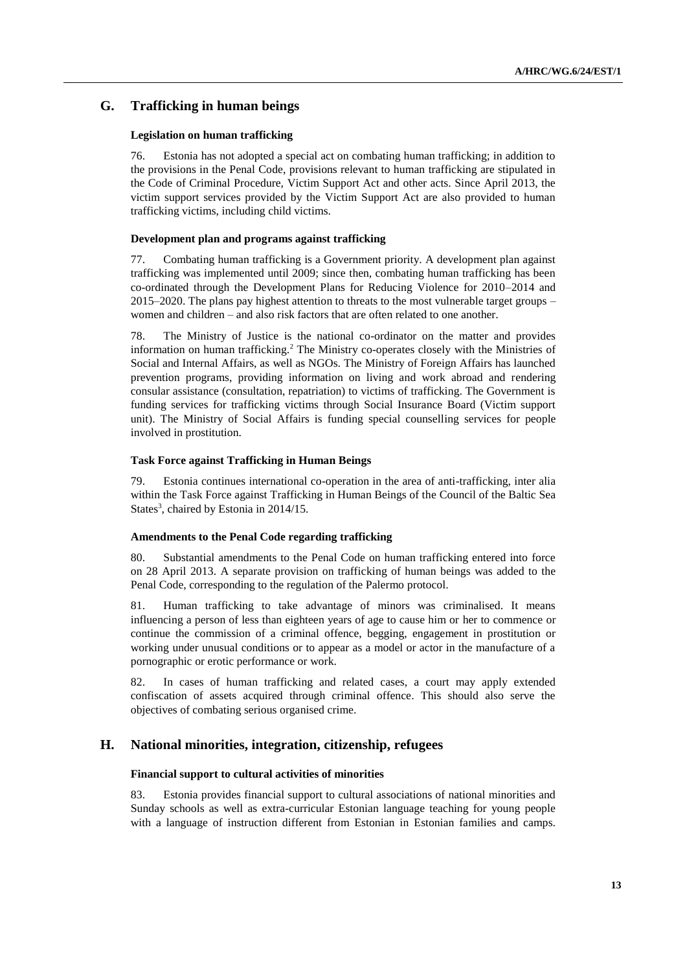# **G. Trafficking in human beings**

## **Legislation on human trafficking**

76. Estonia has not adopted a special act on combating human trafficking; in addition to the provisions in the Penal Code, provisions relevant to human trafficking are stipulated in the Code of Criminal Procedure, Victim Support Act and other acts. Since April 2013, the victim support services provided by the Victim Support Act are also provided to human trafficking victims, including child victims.

## **Development plan and programs against trafficking**

77. Combating human trafficking is a Government priority. A development plan against trafficking was implemented until 2009; since then, combating human trafficking has been co-ordinated through the Development Plans for Reducing Violence for 2010–2014 and 2015–2020. The plans pay highest attention to threats to the most vulnerable target groups – women and children – and also risk factors that are often related to one another.

78. The Ministry of Justice is the national co-ordinator on the matter and provides information on human trafficking.<sup>2</sup> The Ministry co-operates closely with the Ministries of Social and Internal Affairs, as well as NGOs. The Ministry of Foreign Affairs has launched prevention programs, providing information on living and work abroad and rendering consular assistance (consultation, repatriation) to victims of trafficking. The Government is funding services for trafficking victims through Social Insurance Board (Victim support unit). The Ministry of Social Affairs is funding special counselling services for people involved in prostitution.

# **Task Force against Trafficking in Human Beings**

79. Estonia continues international co-operation in the area of anti-trafficking, inter alia within the Task Force against Trafficking in Human Beings of the Council of the Baltic Sea States<sup>3</sup>, chaired by Estonia in 2014/15.

### **Amendments to the Penal Code regarding trafficking**

80. Substantial amendments to the Penal Code on human trafficking entered into force on 28 April 2013. A separate provision on trafficking of human beings was added to the Penal Code, corresponding to the regulation of the Palermo protocol.

81. Human trafficking to take advantage of minors was criminalised. It means influencing a person of less than eighteen years of age to cause him or her to commence or continue the commission of a criminal offence, begging, engagement in prostitution or working under unusual conditions or to appear as a model or actor in the manufacture of a pornographic or erotic performance or work.

82. In cases of human trafficking and related cases, a court may apply extended confiscation of assets acquired through criminal offence. This should also serve the objectives of combating serious organised crime.

# **H. National minorities, integration, citizenship, refugees**

### **Financial support to cultural activities of minorities**

83. Estonia provides financial support to cultural associations of national minorities and Sunday schools as well as extra-curricular Estonian language teaching for young people with a language of instruction different from Estonian in Estonian families and camps.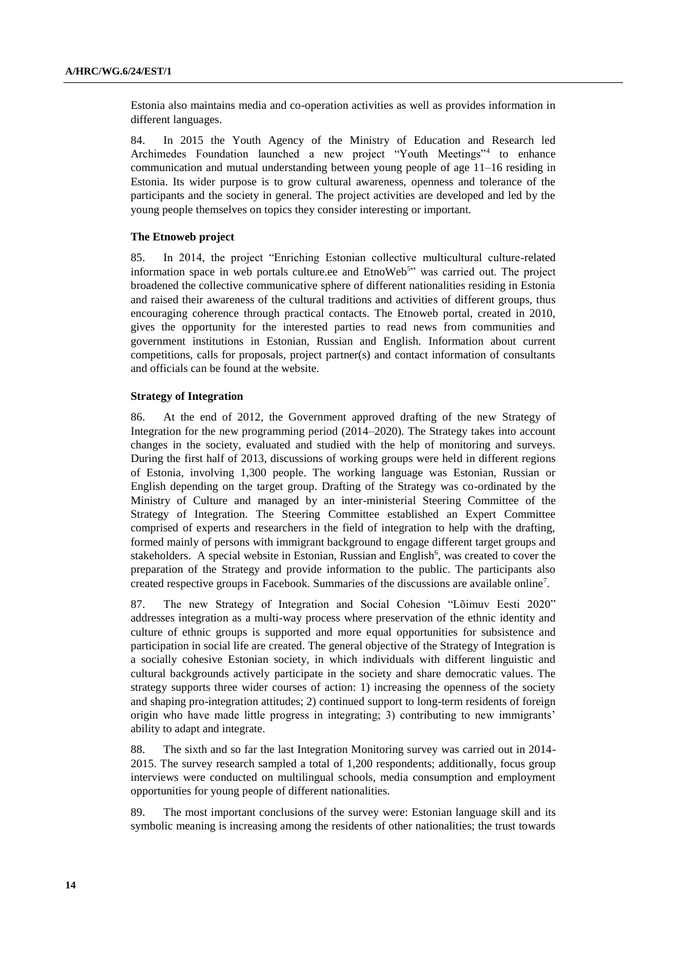Estonia also maintains media and co-operation activities as well as provides information in different languages.

84. In 2015 the Youth Agency of the Ministry of Education and Research led Archimedes Foundation launched a new project "Youth Meetings"<sup>4</sup> to enhance communication and mutual understanding between young people of age 11–16 residing in Estonia. Its wider purpose is to grow cultural awareness, openness and tolerance of the participants and the society in general. The project activities are developed and led by the young people themselves on topics they consider interesting or important.

#### **The Etnoweb project**

85. In 2014, the project "Enriching Estonian collective multicultural culture-related information space in web portals culture.ee and EtnoWeb<sup>5</sup>" was carried out. The project broadened the collective communicative sphere of different nationalities residing in Estonia and raised their awareness of the cultural traditions and activities of different groups, thus encouraging coherence through practical contacts. The Etnoweb portal, created in 2010, gives the opportunity for the interested parties to read news from communities and government institutions in Estonian, Russian and English. Information about current competitions, calls for proposals, project partner(s) and contact information of consultants and officials can be found at the website.

#### **Strategy of Integration**

86. At the end of 2012, the Government approved drafting of the new Strategy of Integration for the new programming period (2014–2020). The Strategy takes into account changes in the society, evaluated and studied with the help of monitoring and surveys. During the first half of 2013, discussions of working groups were held in different regions of Estonia, involving 1,300 people. The working language was Estonian, Russian or English depending on the target group. Drafting of the Strategy was co-ordinated by the Ministry of Culture and managed by an inter-ministerial Steering Committee of the Strategy of Integration. The Steering Committee established an Expert Committee comprised of experts and researchers in the field of integration to help with the drafting, formed mainly of persons with immigrant background to engage different target groups and stakeholders. A special website in Estonian, Russian and English<sup>6</sup>, was created to cover the preparation of the Strategy and provide information to the public. The participants also created respective groups in Facebook. Summaries of the discussions are available online<sup>7</sup>.

87. The new Strategy of Integration and Social Cohesion "Lõimuv Eesti 2020" addresses integration as a multi-way process where preservation of the ethnic identity and culture of ethnic groups is supported and more equal opportunities for subsistence and participation in social life are created. The general objective of the Strategy of Integration is a socially cohesive Estonian society, in which individuals with different linguistic and cultural backgrounds actively participate in the society and share democratic values. The strategy supports three wider courses of action: 1) increasing the openness of the society and shaping pro-integration attitudes; 2) continued support to long-term residents of foreign origin who have made little progress in integrating; 3) contributing to new immigrants' ability to adapt and integrate.

88. The sixth and so far the last Integration Monitoring survey was carried out in 2014- 2015. The survey research sampled a total of 1,200 respondents; additionally, focus group interviews were conducted on multilingual schools, media consumption and employment opportunities for young people of different nationalities.

89. The most important conclusions of the survey were: Estonian language skill and its symbolic meaning is increasing among the residents of other nationalities; the trust towards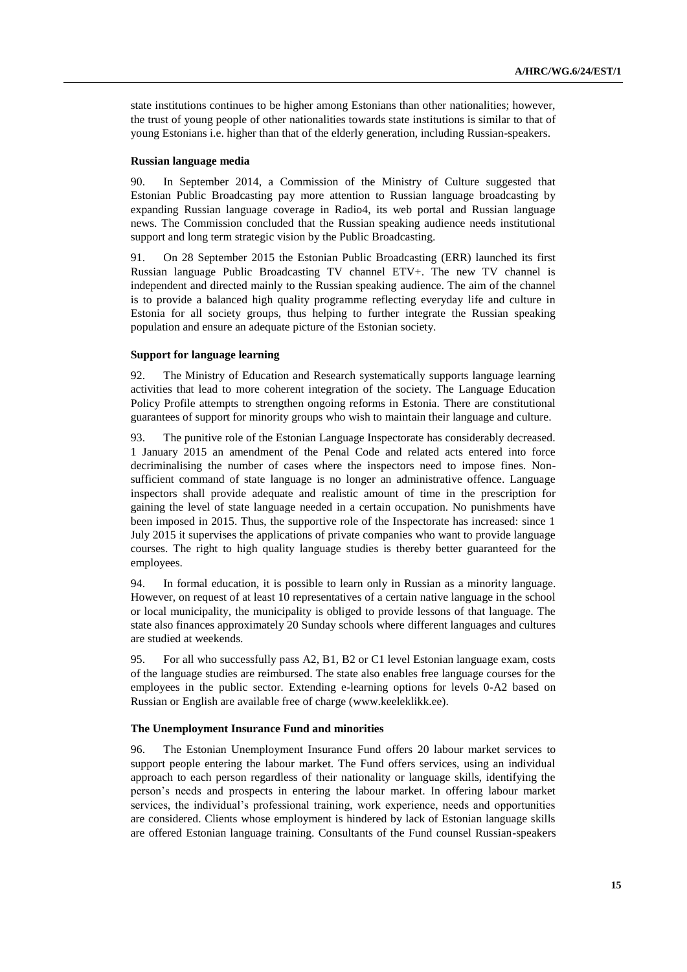state institutions continues to be higher among Estonians than other nationalities; however, the trust of young people of other nationalities towards state institutions is similar to that of young Estonians i.e. higher than that of the elderly generation, including Russian-speakers.

#### **Russian language media**

90. In September 2014, a Commission of the Ministry of Culture suggested that Estonian Public Broadcasting pay more attention to Russian language broadcasting by expanding Russian language coverage in Radio4, its web portal and Russian language news. The Commission concluded that the Russian speaking audience needs institutional support and long term strategic vision by the Public Broadcasting.

91. On 28 September 2015 the Estonian Public Broadcasting (ERR) launched its first Russian language Public Broadcasting TV channel ETV+. The new TV channel is independent and directed mainly to the Russian speaking audience. The aim of the channel is to provide a balanced high quality programme reflecting everyday life and culture in Estonia for all society groups, thus helping to further integrate the Russian speaking population and ensure an adequate picture of the Estonian society.

#### **Support for language learning**

92. The Ministry of Education and Research systematically supports language learning activities that lead to more coherent integration of the society. The Language Education Policy Profile attempts to strengthen ongoing reforms in Estonia. There are constitutional guarantees of support for minority groups who wish to maintain their language and culture.

93. The punitive role of the Estonian Language Inspectorate has considerably decreased. 1 January 2015 an amendment of the Penal Code and related acts entered into force decriminalising the number of cases where the inspectors need to impose fines. Nonsufficient command of state language is no longer an administrative offence. Language inspectors shall provide adequate and realistic amount of time in the prescription for gaining the level of state language needed in a certain occupation. No punishments have been imposed in 2015. Thus, the supportive role of the Inspectorate has increased: since 1 July 2015 it supervises the applications of private companies who want to provide language courses. The right to high quality language studies is thereby better guaranteed for the employees.

94. In formal education, it is possible to learn only in Russian as a minority language. However, on request of at least 10 representatives of a certain native language in the school or local municipality, the municipality is obliged to provide lessons of that language. The state also finances approximately 20 Sunday schools where different languages and cultures are studied at weekends.

95. For all who successfully pass A2, B1, B2 or C1 level Estonian language exam, costs of the language studies are reimbursed. The state also enables free language courses for the employees in the public sector. Extending e-learning options for levels 0-A2 based on Russian or English are available free of charge [\(www.keeleklikk.ee\)](http://www.keeleklikk.ee/).

#### **The Unemployment Insurance Fund and minorities**

96. The Estonian Unemployment Insurance Fund offers 20 labour market services to support people entering the labour market. The Fund offers services, using an individual approach to each person regardless of their nationality or language skills, identifying the person's needs and prospects in entering the labour market. In offering labour market services, the individual's professional training, work experience, needs and opportunities are considered. Clients whose employment is hindered by lack of Estonian language skills are offered Estonian language training. Consultants of the Fund counsel Russian-speakers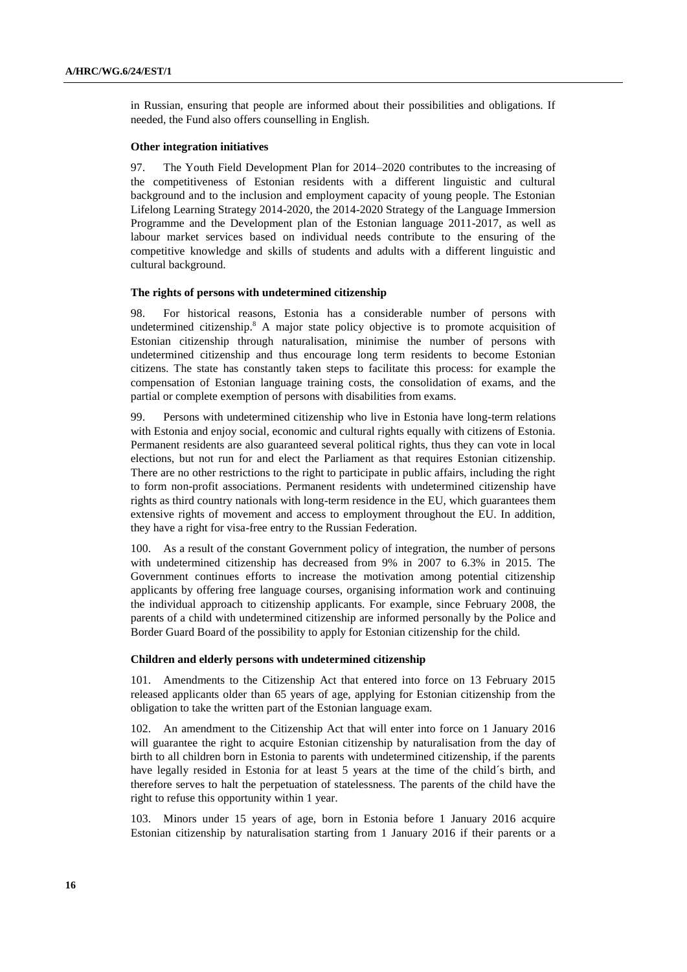in Russian, ensuring that people are informed about their possibilities and obligations. If needed, the Fund also offers counselling in English.

#### **Other integration initiatives**

97. The Youth Field Development Plan for 2014–2020 contributes to the increasing of the competitiveness of Estonian residents with a different linguistic and cultural background and to the inclusion and employment capacity of young people. The Estonian Lifelong Learning Strategy 2014-2020, the 2014-2020 Strategy of the Language Immersion Programme and the Development plan of the Estonian language 2011-2017, as well as labour market services based on individual needs contribute to the ensuring of the competitive knowledge and skills of students and adults with a different linguistic and cultural background.

#### **The rights of persons with undetermined citizenship**

98. For historical reasons, Estonia has a considerable number of persons with undetermined citizenship.<sup>8</sup> A major state policy objective is to promote acquisition of Estonian citizenship through naturalisation, minimise the number of persons with undetermined citizenship and thus encourage long term residents to become Estonian citizens. The state has constantly taken steps to facilitate this process: for example the compensation of Estonian language training costs, the consolidation of exams, and the partial or complete exemption of persons with disabilities from exams.

99. Persons with undetermined citizenship who live in Estonia have long-term relations with Estonia and enjoy social, economic and cultural rights equally with citizens of Estonia. Permanent residents are also guaranteed several political rights, thus they can vote in local elections, but not run for and elect the Parliament as that requires Estonian citizenship. There are no other restrictions to the right to participate in public affairs, including the right to form non-profit associations. Permanent residents with undetermined citizenship have rights as third country nationals with long-term residence in the EU, which guarantees them extensive rights of movement and access to employment throughout the EU. In addition, they have a right for visa-free entry to the Russian Federation.

100. As a result of the constant Government policy of integration, the number of persons with undetermined citizenship has decreased from 9% in 2007 to 6.3% in 2015. The Government continues efforts to increase the motivation among potential citizenship applicants by offering free language courses, organising information work and continuing the individual approach to citizenship applicants. For example, since February 2008, the parents of a child with undetermined citizenship are informed personally by the Police and Border Guard Board of the possibility to apply for Estonian citizenship for the child.

#### **Children and elderly persons with undetermined citizenship**

101. Amendments to the Citizenship Act that entered into force on 13 February 2015 released applicants older than 65 years of age, applying for Estonian citizenship from the obligation to take the written part of the Estonian language exam.

102. An amendment to the Citizenship Act that will enter into force on 1 January 2016 will guarantee the right to acquire Estonian citizenship by naturalisation from the day of birth to all children born in Estonia to parents with undetermined citizenship, if the parents have legally resided in Estonia for at least 5 years at the time of the child´s birth, and therefore serves to halt the perpetuation of statelessness. The parents of the child have the right to refuse this opportunity within 1 year.

103. Minors under 15 years of age, born in Estonia before 1 January 2016 acquire Estonian citizenship by naturalisation starting from 1 January 2016 if their parents or a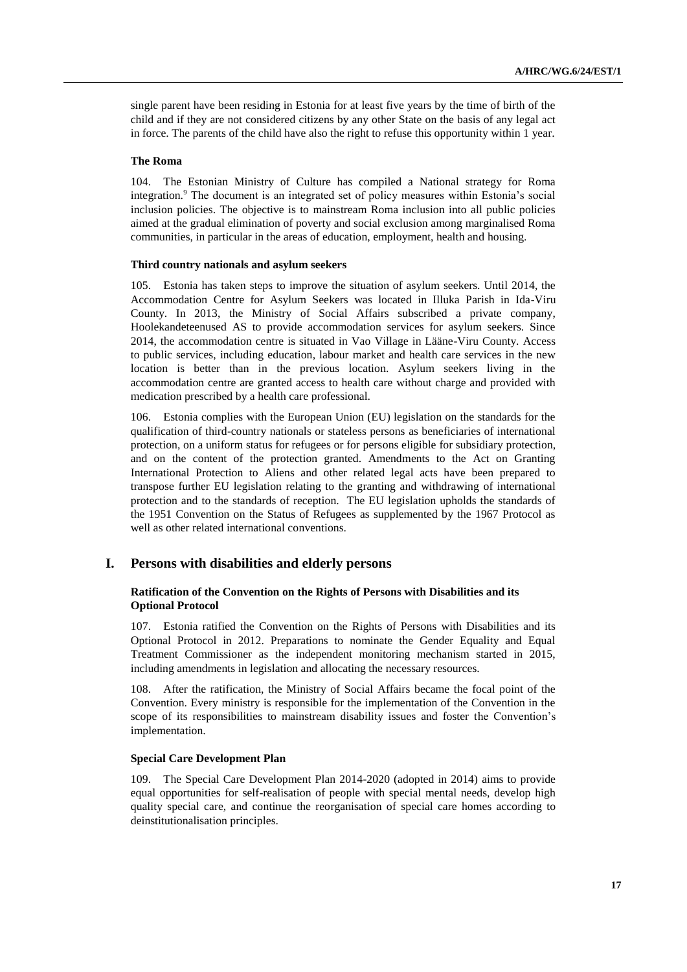single parent have been residing in Estonia for at least five years by the time of birth of the child and if they are not considered citizens by any other State on the basis of any legal act in force. The parents of the child have also the right to refuse this opportunity within 1 year.

#### **The Roma**

104. The Estonian Ministry of Culture has compiled a National strategy for Roma integration.<sup>9</sup> The document is an integrated set of policy measures within Estonia's social inclusion policies. The objective is to mainstream Roma inclusion into all public policies aimed at the gradual elimination of poverty and social exclusion among marginalised Roma communities, in particular in the areas of education, employment, health and housing.

#### **Third country nationals and asylum seekers**

105. Estonia has taken steps to improve the situation of asylum seekers. Until 2014, the Accommodation Centre for Asylum Seekers was located in Illuka Parish in Ida-Viru County. In 2013, the Ministry of Social Affairs subscribed a private company, Hoolekandeteenused AS to provide accommodation services for asylum seekers. Since 2014, the accommodation centre is situated in Vao Village in Lääne-Viru County. Access to public services, including education, labour market and health care services in the new location is better than in the previous location. Asylum seekers living in the accommodation centre are granted access to health care without charge and provided with medication prescribed by a health care professional.

106. Estonia complies with the European Union (EU) legislation on the standards for the qualification of third-country nationals or stateless persons as beneficiaries of international protection, on a uniform status for refugees or for persons eligible for subsidiary protection, and on the content of the protection granted. Amendments to the Act on Granting International Protection to Aliens and other related legal acts have been prepared to transpose further EU legislation relating to the granting and withdrawing of international protection and to the standards of reception. The EU legislation upholds the standards of the 1951 Convention on the Status of Refugees as supplemented by the 1967 Protocol as well as other related international conventions.

# **I. Persons with disabilities and elderly persons**

# **Ratification of the Convention on the Rights of Persons with Disabilities and its Optional Protocol**

107. Estonia ratified the Convention on the Rights of Persons with Disabilities and its Optional Protocol in 2012. Preparations to nominate the Gender Equality and Equal Treatment Commissioner as the independent monitoring mechanism started in 2015, including amendments in legislation and allocating the necessary resources.

108. After the ratification, the Ministry of Social Affairs became the focal point of the Convention. Every ministry is responsible for the implementation of the Convention in the scope of its responsibilities to mainstream disability issues and foster the Convention's implementation.

## **Special Care Development Plan**

109. The Special Care Development Plan 2014-2020 (adopted in 2014) aims to provide equal opportunities for self-realisation of people with special mental needs, develop high quality special care, and continue the reorganisation of special care homes according to deinstitutionalisation principles.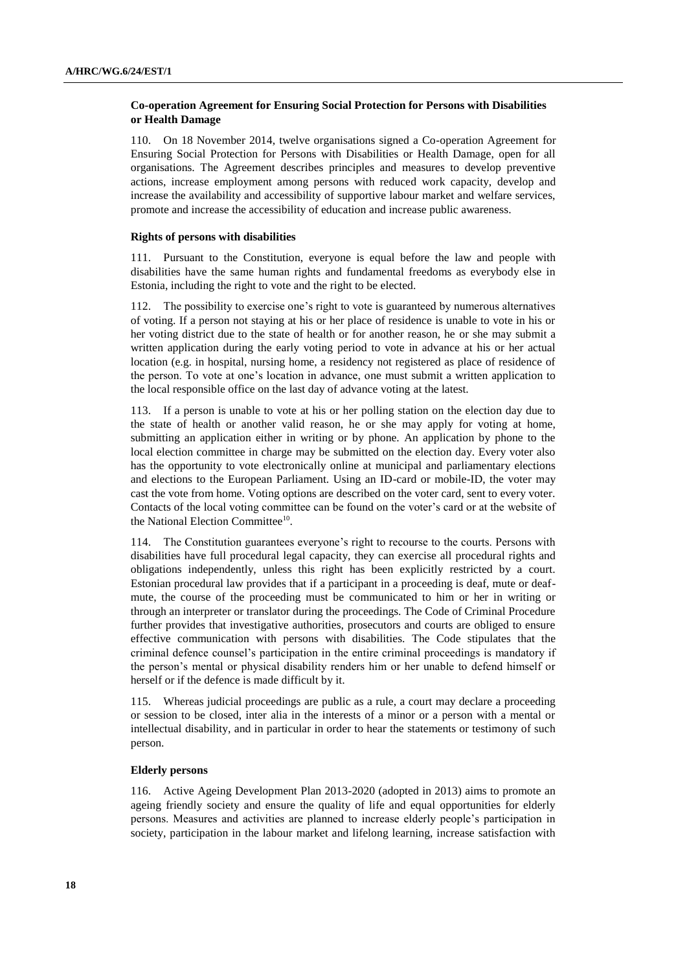# **Co-operation Agreement for Ensuring Social Protection for Persons with Disabilities or Health Damage**

110. On 18 November 2014, twelve organisations signed a Co-operation Agreement for Ensuring Social Protection for Persons with Disabilities or Health Damage, open for all organisations. The Agreement describes principles and measures to develop preventive actions, increase employment among persons with reduced work capacity, develop and increase the availability and accessibility of supportive labour market and welfare services, promote and increase the accessibility of education and increase public awareness.

#### **Rights of persons with disabilities**

111. Pursuant to the Constitution, everyone is equal before the law and people with disabilities have the same human rights and fundamental freedoms as everybody else in Estonia, including the right to vote and the right to be elected.

112. The possibility to exercise one's right to vote is guaranteed by numerous alternatives of voting. If a person not staying at his or her place of residence is unable to vote in his or her voting district due to the state of health or for another reason, he or she may submit a written application during the early voting period to vote in advance at his or her actual location (e.g. in hospital, nursing home, a residency not registered as place of residence of the person. To vote at one's location in advance, one must submit a written application to the local responsible office on the last day of advance voting at the latest.

113. If a person is unable to vote at his or her polling station on the election day due to the state of health or another valid reason, he or she may apply for voting at home, submitting an application either in writing or by phone. An application by phone to the local election committee in charge may be submitted on the election day. Every voter also has the opportunity to vote electronically online at municipal and parliamentary elections and elections to the European Parliament. Using an ID-card or mobile-ID, the voter may cast the vote from home. Voting options are described on the voter card, sent to every voter. Contacts of the local voting committee can be found on the voter's card or at the website of the National Election Committee<sup>10</sup>.

114. The Constitution guarantees everyone's right to recourse to the courts. Persons with disabilities have full procedural legal capacity, they can exercise all procedural rights and obligations independently, unless this right has been explicitly restricted by a court. Estonian procedural law provides that if a participant in a proceeding is deaf, mute or deafmute, the course of the proceeding must be communicated to him or her in writing or through an interpreter or translator during the proceedings. The Code of Criminal Procedure further provides that investigative authorities, prosecutors and courts are obliged to ensure effective communication with persons with disabilities. The Code stipulates that the criminal defence counsel's participation in the entire criminal proceedings is mandatory if the person's mental or physical disability renders him or her unable to defend himself or herself or if the defence is made difficult by it.

115. Whereas judicial proceedings are public as a rule, a court may declare a proceeding or session to be closed, inter alia in the interests of a minor or a person with a mental or intellectual disability, and in particular in order to hear the statements or testimony of such person.

#### **Elderly persons**

116. Active Ageing Development Plan 2013-2020 (adopted in 2013) aims to promote an ageing friendly society and ensure the quality of life and equal opportunities for elderly persons. Measures and activities are planned to increase elderly people's participation in society, participation in the labour market and lifelong learning, increase satisfaction with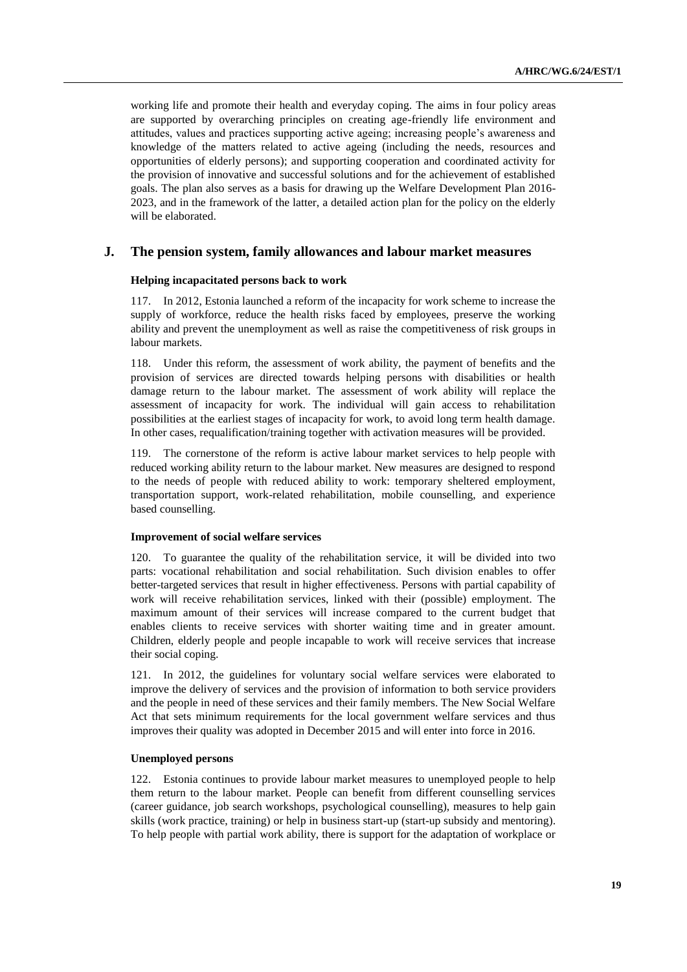working life and promote their health and everyday coping. The aims in four policy areas are supported by overarching principles on creating age-friendly life environment and attitudes, values and practices supporting active ageing; increasing people's awareness and knowledge of the matters related to active ageing (including the needs, resources and opportunities of elderly persons); and supporting cooperation and coordinated activity for the provision of innovative and successful solutions and for the achievement of established goals. The plan also serves as a basis for drawing up the Welfare Development Plan 2016- 2023, and in the framework of the latter, a detailed action plan for the policy on the elderly will be elaborated.

# **J. The pension system, family allowances and labour market measures**

## **Helping incapacitated persons back to work**

117. In 2012, Estonia launched a reform of the incapacity for work scheme to increase the supply of workforce, reduce the health risks faced by employees, preserve the working ability and prevent the unemployment as well as raise the competitiveness of risk groups in labour markets.

118. Under this reform, the assessment of work ability, the payment of benefits and the provision of services are directed towards helping persons with disabilities or health damage return to the labour market. The assessment of work ability will replace the assessment of incapacity for work. The individual will gain access to rehabilitation possibilities at the earliest stages of incapacity for work, to avoid long term health damage. In other cases, requalification/training together with activation measures will be provided.

119. The cornerstone of the reform is active labour market services to help people with reduced working ability return to the labour market. New measures are designed to respond to the needs of people with reduced ability to work: temporary sheltered employment, transportation support, work-related rehabilitation, mobile counselling, and experience based counselling.

#### **Improvement of social welfare services**

120. To guarantee the quality of the rehabilitation service, it will be divided into two parts: vocational rehabilitation and social rehabilitation. Such division enables to offer better-targeted services that result in higher effectiveness. Persons with partial capability of work will receive rehabilitation services, linked with their (possible) employment. The maximum amount of their services will increase compared to the current budget that enables clients to receive services with shorter waiting time and in greater amount. Children, elderly people and people incapable to work will receive services that increase their social coping.

121. In 2012, the guidelines for voluntary social welfare services were elaborated to improve the delivery of services and the provision of information to both service providers and the people in need of these services and their family members. The New Social Welfare Act that sets minimum requirements for the local government welfare services and thus improves their quality was adopted in December 2015 and will enter into force in 2016.

#### **Unemployed persons**

122. Estonia continues to provide labour market measures to unemployed people to help them return to the labour market. People can benefit from different counselling services (career guidance, job search workshops, psychological counselling), measures to help gain skills (work practice, training) or help in business start-up (start-up subsidy and mentoring). To help people with partial work ability, there is support for the adaptation of workplace or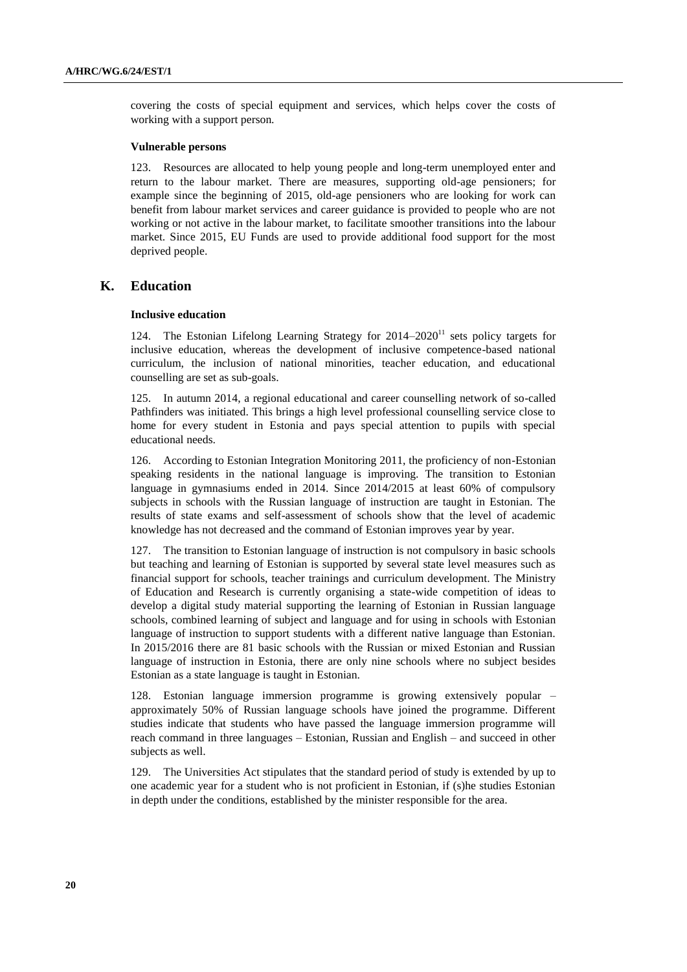covering the costs of special equipment and services, which helps cover the costs of working with a support person.

# **Vulnerable persons**

123. Resources are allocated to help young people and long-term unemployed enter and return to the labour market. There are measures, supporting old-age pensioners; for example since the beginning of 2015, old-age pensioners who are looking for work can benefit from labour market services and career guidance is provided to people who are not working or not active in the labour market, to facilitate smoother transitions into the labour market. Since 2015, EU Funds are used to provide additional food support for the most deprived people.

# **K. Education**

#### **Inclusive education**

124. The Estonian Lifelong Learning Strategy for 2014–2020<sup>11</sup> sets policy targets for inclusive education, whereas the development of inclusive competence-based national curriculum, the inclusion of national minorities, teacher education, and educational counselling are set as sub-goals.

125. In autumn 2014, a regional educational and career counselling network of so-called Pathfinders was initiated. This brings a high level professional counselling service close to home for every student in Estonia and pays special attention to pupils with special educational needs.

126. According to Estonian Integration Monitoring 2011, the proficiency of non-Estonian speaking residents in the national language is improving. The transition to Estonian language in gymnasiums ended in 2014. Since 2014/2015 at least 60% of compulsory subjects in schools with the Russian language of instruction are taught in Estonian. The results of state exams and self-assessment of schools show that the level of academic knowledge has not decreased and the command of Estonian improves year by year.

127. The transition to Estonian language of instruction is not compulsory in basic schools but teaching and learning of Estonian is supported by several state level measures such as financial support for schools, teacher trainings and curriculum development. The Ministry of Education and Research is currently organising a state-wide competition of ideas to develop a digital study material supporting the learning of Estonian in Russian language schools, combined learning of subject and language and for using in schools with Estonian language of instruction to support students with a different native language than Estonian. In 2015/2016 there are 81 basic schools with the Russian or mixed Estonian and Russian language of instruction in Estonia, there are only nine schools where no subject besides Estonian as a state language is taught in Estonian.

128. Estonian language immersion programme is growing extensively popular – approximately 50% of Russian language schools have joined the programme. Different studies indicate that students who have passed the language immersion programme will reach command in three languages – Estonian, Russian and English – and succeed in other subjects as well.

129. The Universities Act stipulates that the standard period of study is extended by up to one academic year for a student who is not proficient in Estonian, if (s)he studies Estonian in depth under the conditions, established by the minister responsible for the area.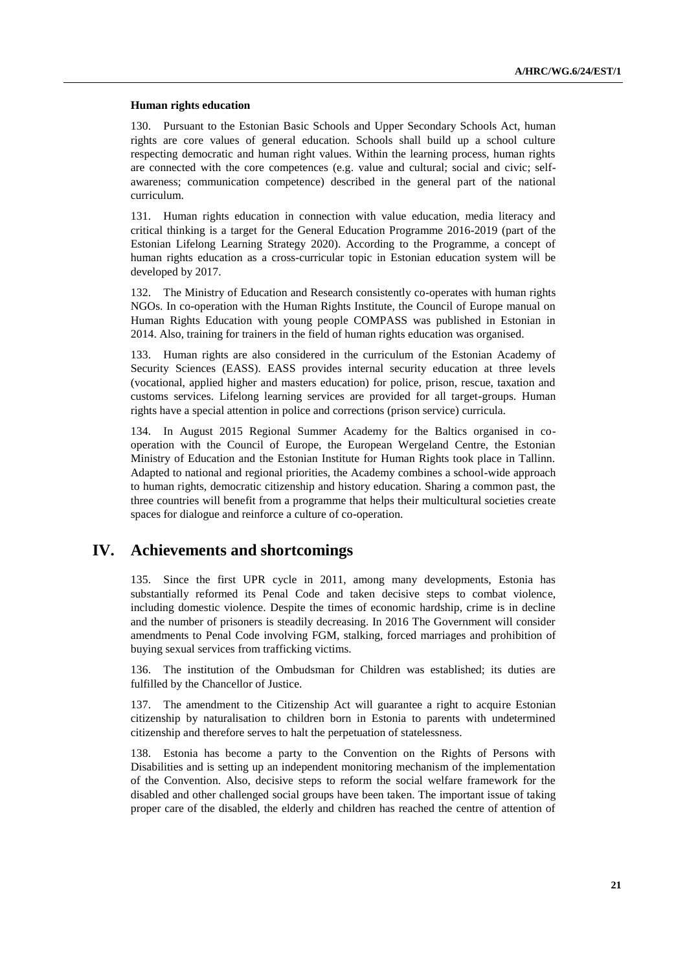#### **Human rights education**

130. Pursuant to the Estonian Basic Schools and Upper Secondary Schools Act, human rights are core values of general education. Schools shall build up a school culture respecting democratic and human right values. Within the learning process, human rights are connected with the core competences (e.g. value and cultural; social and civic; selfawareness; communication competence) described in the general part of the national curriculum.

131. Human rights education in connection with value education, media literacy and critical thinking is a target for the General Education Programme 2016-2019 (part of the Estonian Lifelong Learning Strategy 2020). According to the Programme, a concept of human rights education as a cross-curricular topic in Estonian education system will be developed by 2017.

132. The Ministry of Education and Research consistently co-operates with human rights NGOs. In co-operation with the Human Rights Institute, the Council of Europe manual on Human Rights Education with young people COMPASS was published in Estonian in 2014. Also, training for trainers in the field of human rights education was organised.

133. Human rights are also considered in the curriculum of the Estonian Academy of Security Sciences (EASS). EASS provides internal security education at three levels (vocational, applied higher and masters education) for police, prison, rescue, taxation and customs services. Lifelong learning services are provided for all target-groups. Human rights have a special attention in police and corrections (prison service) curricula.

134. In August 2015 Regional Summer Academy for the Baltics organised in cooperation with the Council of Europe, the European Wergeland Centre, the Estonian Ministry of Education and the Estonian Institute for Human Rights took place in Tallinn. Adapted to national and regional priorities, the Academy combines a school-wide approach to human rights, democratic citizenship and history education. Sharing a common past, the three countries will benefit from a programme that helps their multicultural societies create spaces for dialogue and reinforce a culture of co-operation.

# **IV. Achievements and shortcomings**

135. Since the first UPR cycle in 2011, among many developments, Estonia has substantially reformed its Penal Code and taken decisive steps to combat violence, including domestic violence. Despite the times of economic hardship, crime is in decline and the number of prisoners is steadily decreasing. In 2016 The Government will consider amendments to Penal Code involving FGM, stalking, forced marriages and prohibition of buying sexual services from trafficking victims.

136. The institution of the Ombudsman for Children was established; its duties are fulfilled by the Chancellor of Justice.

137. The amendment to the Citizenship Act will guarantee a right to acquire Estonian citizenship by naturalisation to children born in Estonia to parents with undetermined citizenship and therefore serves to halt the perpetuation of statelessness.

138. Estonia has become a party to the Convention on the Rights of Persons with Disabilities and is setting up an independent monitoring mechanism of the implementation of the Convention. Also, decisive steps to reform the social welfare framework for the disabled and other challenged social groups have been taken. The important issue of taking proper care of the disabled, the elderly and children has reached the centre of attention of